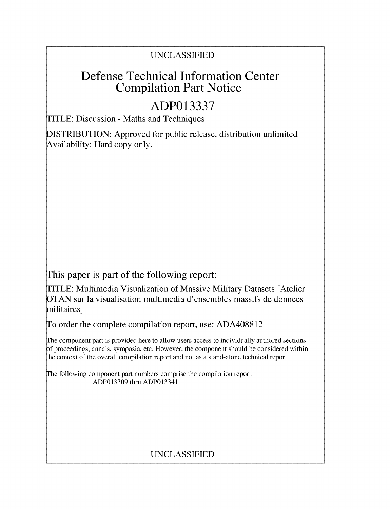#### UNCLASSIFIED

# Defense Technical Information Center Compilation Part Notice

# **ADP013337**

TITLE: Discussion - Maths and Techniques

DISTRIBUTION: Approved for public release, distribution unlimited Availability: Hard copy only.

This paper is part of the following report:

TITLE: Multimedia Visualization of Massive Military Datasets [Atelier OTAN sur la visualisation multimedia d'ensembles massifs de donnees militaires]

To order the complete compilation report, use: ADA408812

The component part is provided here to allow users access to individually authored sections **)f** proceedings, annals, symposia, etc. However, the component should be considered within [he context of the overall compilation report and not as a stand-alone technical report.

The following component part numbers comprise the compilation report: ADP013309 thru ADP013341

### UNCLASSIFIED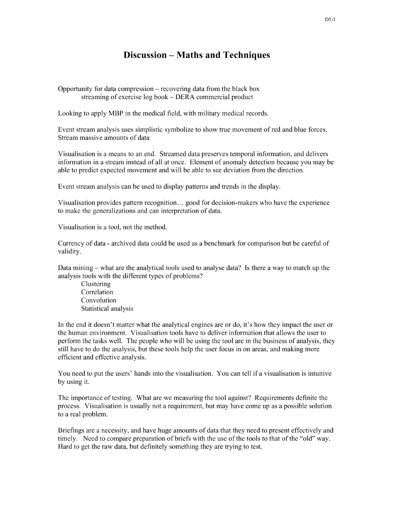#### Discussion - Maths and Techniques

Opportunity for data compression  $-$  recovering data from the black box streaming of exercise log book - DERA commercial product

Looking to apply MBP in the medical field, with military medical records.

Event stream analysis uses simplistic symbolize to show true movement of red and blue forces. Stream massive amounts of data

Visualisation is a means to an end. Streamed data preserves temporal information, and delivers information in a stream instead of all at once. Element of anomaly detection because you may be able to predict expected movement and will be able to see deviation from the direction.

Event stream analysis can be used to display patterns and trends in the display.

Visualisation provides pattern recognition... good for decision-makers who have the experience to make the generalizations and can interpretation of data.

Visualisation is a tool, not the method.

Currency of data - archived data could be used as a benchmark for comparison but be careful of validity.

Data mining  $-$  what are the analytical tools used to analyse data? Is there a way to match up the analysis tools with the different types of problems?

Clustering Correlation Convolution Statistical analysis

In the end it doesn't matter what the analytical engines are or do, it's how they impact the user or the human environment. Visualisation tools have to deliver information that allows the user to perform the tasks well. The people who will be using the tool are in the business of analysis, they still have to do the analysis, but these tools help the user focus in on areas, and making more efficient and effective analysis.

You need to put the users' hands into the visualisation. You can tell if a visualisation is intuitive by using it.

The importance of testing. What are we measuring the tool against? Requirements definite the process. Visualisation is usually not a requirement, but may have come up as a possible solution to a real problem.

Briefings are a necessity, and have huge amounts of data that they need to present effectively and timely. Need to compare preparation of briefs with the use of the tools to that of the "old" way. Hard to get the raw data, but definitely something they are trying to test.